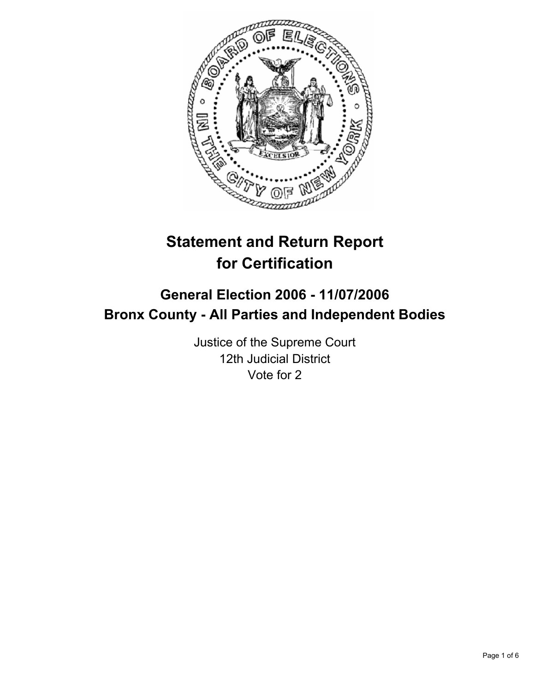

# **Statement and Return Report for Certification**

# **General Election 2006 - 11/07/2006 Bronx County - All Parties and Independent Bodies**

Justice of the Supreme Court 12th Judicial District Vote for 2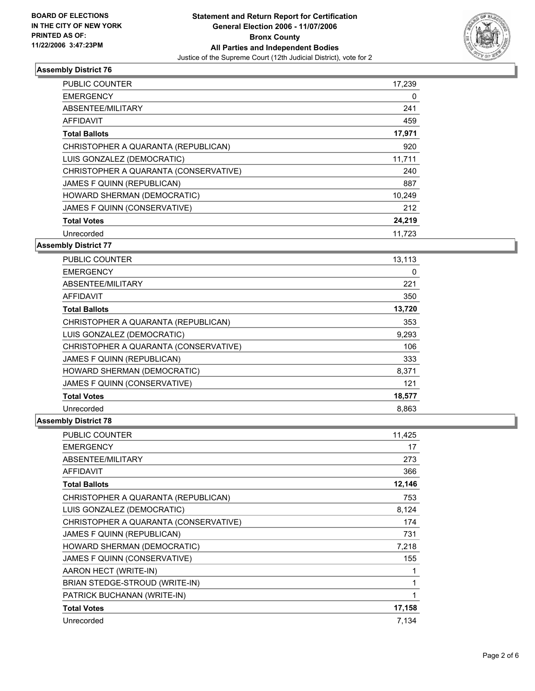

| <b>PUBLIC COUNTER</b>                 | 17,239 |
|---------------------------------------|--------|
| <b>EMERGENCY</b>                      | 0      |
| ABSENTEE/MILITARY                     | 241    |
| <b>AFFIDAVIT</b>                      | 459    |
| <b>Total Ballots</b>                  | 17,971 |
| CHRISTOPHER A QUARANTA (REPUBLICAN)   | 920    |
| LUIS GONZALEZ (DEMOCRATIC)            | 11,711 |
| CHRISTOPHER A QUARANTA (CONSERVATIVE) | 240    |
| JAMES F QUINN (REPUBLICAN)            | 887    |
| HOWARD SHERMAN (DEMOCRATIC)           | 10,249 |
| JAMES F QUINN (CONSERVATIVE)          | 212    |
| <b>Total Votes</b>                    | 24,219 |
| Unrecorded                            | 11.723 |

#### **Assembly District 77**

| <b>PUBLIC COUNTER</b>                 | 13,113 |  |
|---------------------------------------|--------|--|
| <b>EMERGENCY</b>                      | 0      |  |
| ABSENTEE/MILITARY                     | 221    |  |
| AFFIDAVIT                             | 350    |  |
| <b>Total Ballots</b>                  | 13,720 |  |
| CHRISTOPHER A QUARANTA (REPUBLICAN)   | 353    |  |
| LUIS GONZALEZ (DEMOCRATIC)            | 9,293  |  |
| CHRISTOPHER A QUARANTA (CONSERVATIVE) | 106    |  |
| JAMES F QUINN (REPUBLICAN)            | 333    |  |
| HOWARD SHERMAN (DEMOCRATIC)           | 8,371  |  |
| JAMES F QUINN (CONSERVATIVE)          | 121    |  |
| <b>Total Votes</b>                    | 18,577 |  |
| Unrecorded                            | 8,863  |  |

| PUBLIC COUNTER                        | 11,425 |
|---------------------------------------|--------|
| <b>EMERGENCY</b>                      | 17     |
| ABSENTEE/MILITARY                     | 273    |
| <b>AFFIDAVIT</b>                      | 366    |
| <b>Total Ballots</b>                  | 12,146 |
| CHRISTOPHER A QUARANTA (REPUBLICAN)   | 753    |
| LUIS GONZALEZ (DEMOCRATIC)            | 8,124  |
| CHRISTOPHER A QUARANTA (CONSERVATIVE) | 174    |
| JAMES F QUINN (REPUBLICAN)            | 731    |
| HOWARD SHERMAN (DEMOCRATIC)           | 7,218  |
| JAMES F QUINN (CONSERVATIVE)          | 155    |
| AARON HECT (WRITE-IN)                 |        |
| BRIAN STEDGE-STROUD (WRITE-IN)        |        |
| PATRICK BUCHANAN (WRITE-IN)           |        |
| <b>Total Votes</b>                    | 17,158 |
| Unrecorded                            | 7,134  |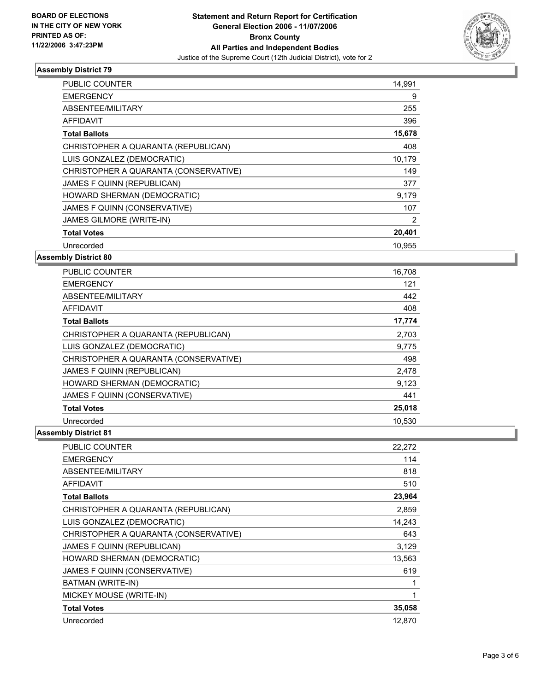

| <b>PUBLIC COUNTER</b>                 | 14,991 |
|---------------------------------------|--------|
| <b>EMERGENCY</b>                      | 9      |
| ABSENTEE/MILITARY                     | 255    |
| AFFIDAVIT                             | 396    |
| <b>Total Ballots</b>                  | 15,678 |
| CHRISTOPHER A QUARANTA (REPUBLICAN)   | 408    |
| LUIS GONZALEZ (DEMOCRATIC)            | 10,179 |
| CHRISTOPHER A QUARANTA (CONSERVATIVE) | 149    |
| JAMES F QUINN (REPUBLICAN)            | 377    |
| HOWARD SHERMAN (DEMOCRATIC)           | 9,179  |
| JAMES F QUINN (CONSERVATIVE)          | 107    |
| <b>JAMES GILMORE (WRITE-IN)</b>       | 2      |
| <b>Total Votes</b>                    | 20,401 |
| Unrecorded                            | 10.955 |

**Assembly District 80**

| PUBLIC COUNTER                        | 16,708 |  |
|---------------------------------------|--------|--|
| <b>EMERGENCY</b>                      | 121    |  |
| ABSENTEE/MILITARY                     | 442    |  |
| AFFIDAVIT                             | 408    |  |
| <b>Total Ballots</b>                  | 17,774 |  |
| CHRISTOPHER A QUARANTA (REPUBLICAN)   | 2,703  |  |
| LUIS GONZALEZ (DEMOCRATIC)            | 9,775  |  |
| CHRISTOPHER A QUARANTA (CONSERVATIVE) | 498    |  |
| JAMES F QUINN (REPUBLICAN)            | 2,478  |  |
| HOWARD SHERMAN (DEMOCRATIC)           | 9,123  |  |
| JAMES F QUINN (CONSERVATIVE)          | 441    |  |
| <b>Total Votes</b>                    | 25,018 |  |
| Unrecorded                            | 10.530 |  |

| PUBLIC COUNTER                        | 22,272 |
|---------------------------------------|--------|
| <b>EMERGENCY</b>                      | 114    |
| ABSENTEE/MILITARY                     | 818    |
| AFFIDAVIT                             | 510    |
| <b>Total Ballots</b>                  | 23,964 |
| CHRISTOPHER A QUARANTA (REPUBLICAN)   | 2,859  |
| LUIS GONZALEZ (DEMOCRATIC)            | 14,243 |
| CHRISTOPHER A QUARANTA (CONSERVATIVE) | 643    |
| JAMES F QUINN (REPUBLICAN)            | 3,129  |
| HOWARD SHERMAN (DEMOCRATIC)           | 13,563 |
| JAMES F QUINN (CONSERVATIVE)          | 619    |
| BATMAN (WRITE-IN)                     |        |
| MICKEY MOUSE (WRITE-IN)               |        |
| <b>Total Votes</b>                    | 35,058 |
| Unrecorded                            | 12.870 |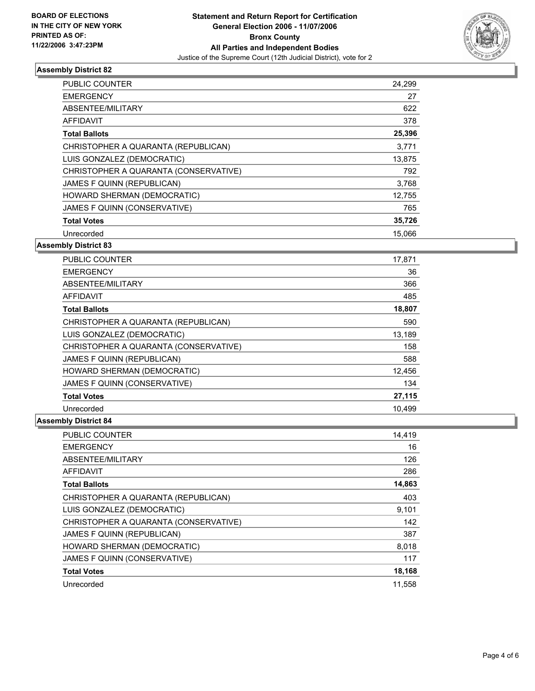

| PUBLIC COUNTER                        | 24,299 |
|---------------------------------------|--------|
| <b>EMERGENCY</b>                      | 27     |
| ABSENTEE/MILITARY                     | 622    |
| AFFIDAVIT                             | 378    |
| <b>Total Ballots</b>                  | 25,396 |
| CHRISTOPHER A QUARANTA (REPUBLICAN)   | 3.771  |
| LUIS GONZALEZ (DEMOCRATIC)            | 13,875 |
| CHRISTOPHER A QUARANTA (CONSERVATIVE) | 792    |
| <b>JAMES F QUINN (REPUBLICAN)</b>     | 3,768  |
| HOWARD SHERMAN (DEMOCRATIC)           | 12,755 |
| JAMES F QUINN (CONSERVATIVE)          | 765    |
| <b>Total Votes</b>                    | 35,726 |
| Unrecorded                            | 15.066 |

#### **Assembly District 83**

| <b>PUBLIC COUNTER</b>                 | 17,871 |  |
|---------------------------------------|--------|--|
| <b>EMERGENCY</b>                      | 36     |  |
| ABSENTEE/MILITARY                     | 366    |  |
| AFFIDAVIT                             | 485    |  |
| <b>Total Ballots</b>                  | 18,807 |  |
| CHRISTOPHER A QUARANTA (REPUBLICAN)   | 590    |  |
| LUIS GONZALEZ (DEMOCRATIC)            | 13,189 |  |
| CHRISTOPHER A QUARANTA (CONSERVATIVE) | 158    |  |
| <b>JAMES F QUINN (REPUBLICAN)</b>     | 588    |  |
| HOWARD SHERMAN (DEMOCRATIC)           | 12,456 |  |
| JAMES F QUINN (CONSERVATIVE)          | 134    |  |
| <b>Total Votes</b>                    | 27,115 |  |
| Unrecorded                            | 10,499 |  |

| PUBLIC COUNTER                        | 14,419 |
|---------------------------------------|--------|
| <b>EMERGENCY</b>                      | 16     |
| ABSENTEE/MILITARY                     | 126    |
| <b>AFFIDAVIT</b>                      | 286    |
| <b>Total Ballots</b>                  | 14,863 |
| CHRISTOPHER A QUARANTA (REPUBLICAN)   | 403    |
| LUIS GONZALEZ (DEMOCRATIC)            | 9,101  |
| CHRISTOPHER A QUARANTA (CONSERVATIVE) | 142    |
| JAMES F QUINN (REPUBLICAN)            | 387    |
| HOWARD SHERMAN (DEMOCRATIC)           | 8,018  |
| JAMES F QUINN (CONSERVATIVE)          | 117    |
| <b>Total Votes</b>                    | 18,168 |
| Unrecorded                            | 11,558 |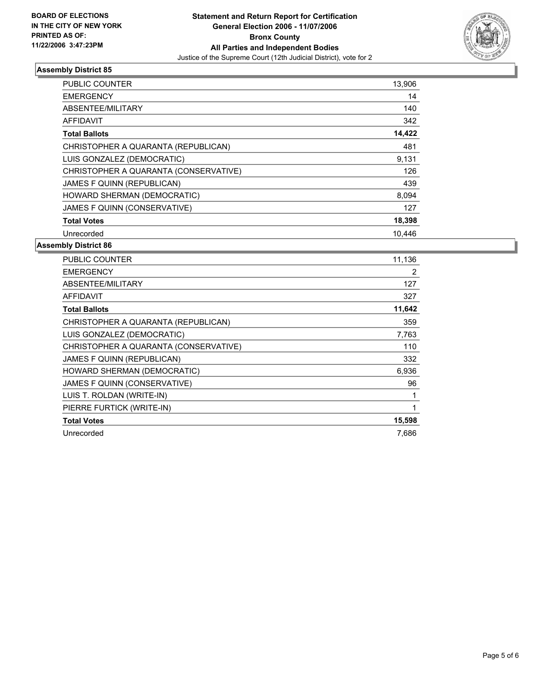

| PUBLIC COUNTER                        | 13,906 |  |
|---------------------------------------|--------|--|
| <b>EMERGENCY</b>                      | 14     |  |
| ABSENTEE/MILITARY                     | 140    |  |
| AFFIDAVIT                             | 342    |  |
| <b>Total Ballots</b>                  | 14,422 |  |
| CHRISTOPHER A QUARANTA (REPUBLICAN)   | 481    |  |
| LUIS GONZALEZ (DEMOCRATIC)            | 9,131  |  |
| CHRISTOPHER A QUARANTA (CONSERVATIVE) | 126    |  |
| JAMES F QUINN (REPUBLICAN)            | 439    |  |
| HOWARD SHERMAN (DEMOCRATIC)           | 8,094  |  |
| JAMES F QUINN (CONSERVATIVE)          | 127    |  |
| <b>Total Votes</b>                    | 18,398 |  |
| Unrecorded                            | 10,446 |  |

| PUBLIC COUNTER                        | 11,136 |
|---------------------------------------|--------|
| <b>EMERGENCY</b>                      | 2      |
| ABSENTEE/MILITARY                     | 127    |
| <b>AFFIDAVIT</b>                      | 327    |
| 11,642<br><b>Total Ballots</b>        |        |
| CHRISTOPHER A QUARANTA (REPUBLICAN)   | 359    |
| LUIS GONZALEZ (DEMOCRATIC)            | 7,763  |
| CHRISTOPHER A QUARANTA (CONSERVATIVE) | 110    |
| JAMES F QUINN (REPUBLICAN)            | 332    |
| HOWARD SHERMAN (DEMOCRATIC)           | 6,936  |
| JAMES F QUINN (CONSERVATIVE)          | 96     |
| LUIS T. ROLDAN (WRITE-IN)             |        |
| PIERRE FURTICK (WRITE-IN)             |        |
| 15,598<br><b>Total Votes</b>          |        |
| Unrecorded                            | 7,686  |